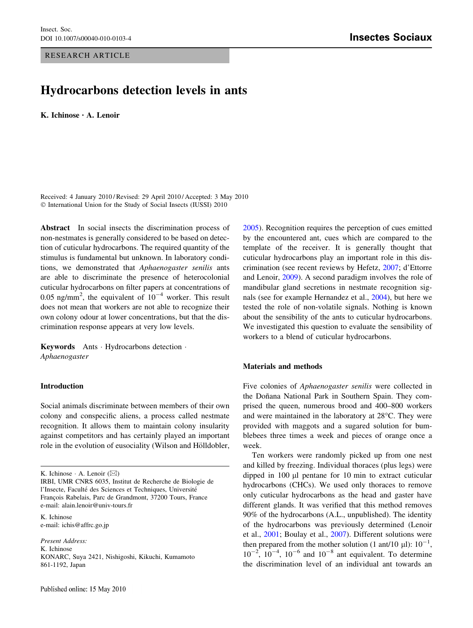### RESEARCH ARTICLE

# Hydrocarbons detection levels in ants

K. Ichinose • A. Lenoir

Received: 4 January 2010 / Revised: 29 April 2010 / Accepted: 3 May 2010 © International Union for the Study of Social Insects (IUSSI) 2010

Abstract In social insects the discrimination process of non-nestmates is generally considered to be based on detection of cuticular hydrocarbons. The required quantity of the stimulus is fundamental but unknown. In laboratory conditions, we demonstrated that Aphaenogaster senilis ants are able to discriminate the presence of heterocolonial cuticular hydrocarbons on filter papers at concentrations of 0.05 ng/mm<sup>2</sup>, the equivalent of  $10^{-4}$  worker. This result does not mean that workers are not able to recognize their own colony odour at lower concentrations, but that the discrimination response appears at very low levels.

Keywords Ants - Hydrocarbons detection - Aphaenogaster

## Introduction

Social animals discriminate between members of their own colony and conspecific aliens, a process called nestmate recognition. It allows them to maintain colony insularity against competitors and has certainly played an important role in the evolution of eusociality (Wilson and Hölldobler,

K. Ichinose  $\cdot$  A. Lenoir ( $\boxtimes$ )

K. Ichinose e-mail: ichis@affrc.go.jp

Present Address: K. Ichinose KONARC, Suya 2421, Nishigoshi, Kikuchi, Kumamoto 861-1192, Japan

[2005](#page-2-0)). Recognition requires the perception of cues emitted by the encountered ant, cues which are compared to the template of the receiver. It is generally thought that cuticular hydrocarbons play an important role in this discrimination (see recent reviews by Hefetz, [2007](#page-2-0); d'Ettorre and Lenoir, [2009\)](#page-2-0). A second paradigm involves the role of mandibular gland secretions in nestmate recognition signals (see for example Hernandez et al., [2004\)](#page-2-0), but here we tested the role of non-volatile signals. Nothing is known about the sensibility of the ants to cuticular hydrocarbons. We investigated this question to evaluate the sensibility of workers to a blend of cuticular hydrocarbons.

#### Materials and methods

Five colonies of Aphaenogaster senilis were collected in the Doñana National Park in Southern Spain. They comprised the queen, numerous brood and 400–800 workers and were maintained in the laboratory at  $28^{\circ}$ C. They were provided with maggots and a sugared solution for bumblebees three times a week and pieces of orange once a week.

Ten workers were randomly picked up from one nest and killed by freezing. Individual thoraces (plus legs) were dipped in  $100 \mu l$  pentane for  $10 \mu l$  min to extract cuticular hydrocarbons (CHCs). We used only thoraces to remove only cuticular hydrocarbons as the head and gaster have different glands. It was verified that this method removes 90% of the hydrocarbons (A.L., unpublished). The identity of the hydrocarbons was previously determined (Lenoir et al., [2001](#page-2-0); Boulay et al., [2007](#page-2-0)). Different solutions were then prepared from the mother solution (1 ant/10  $\mu$ l):  $10^{-1}$ ,  $10^{-2}$ ,  $10^{-4}$ ,  $10^{-6}$  and  $10^{-8}$  ant equivalent. To determine the discrimination level of an individual ant towards an

IRBI, UMR CNRS 6035, Institut de Recherche de Biologie de l'Insecte, Faculté des Sciences et Techniques, Université François Rabelais, Parc de Grandmont, 37200 Tours, France e-mail: alain.lenoir@univ-tours.fr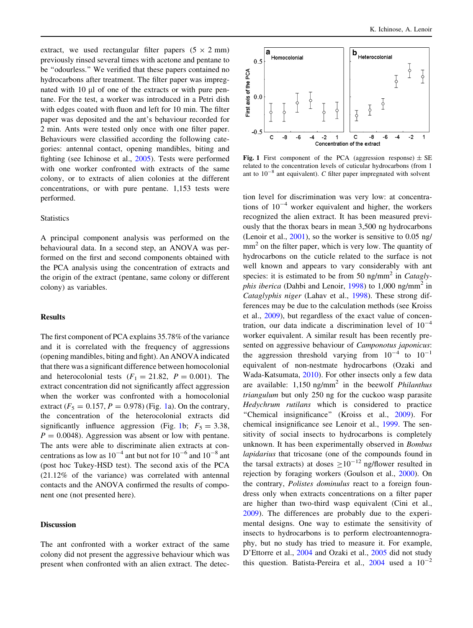extract, we used rectangular filter papers  $(5 \times 2 \text{ mm})$ previously rinsed several times with acetone and pentane to be ''odourless.'' We verified that these papers contained no hydrocarbons after treatment. The filter paper was impregnated with 10 µl of one of the extracts or with pure pentane. For the test, a worker was introduced in a Petri dish with edges coated with fluon and left for 10 min. The filter paper was deposited and the ant's behaviour recorded for 2 min. Ants were tested only once with one filter paper. Behaviours were classified according the following categories: antennal contact, opening mandibles, biting and fighting (see Ichinose et al., [2005](#page-2-0)). Tests were performed with one worker confronted with extracts of the same colony, or to extracts of alien colonies at the different concentrations, or with pure pentane. 1,153 tests were performed.

#### **Statistics**

A principal component analysis was performed on the behavioural data. In a second step, an ANOVA was performed on the first and second components obtained with the PCA analysis using the concentration of extracts and the origin of the extract (pentane, same colony or different colony) as variables.

### Results

The first component of PCA explains 35.78% of the variance and it is correlated with the frequency of aggressions (opening mandibles, biting and fight). An ANOVA indicated that there was a significant difference between homocolonial and heterocolonial tests  $(F_1 = 21.82, P = 0.001)$ . The extract concentration did not significantly affect aggression when the worker was confronted with a homocolonial extract ( $F_5 = 0.157$ ,  $P = 0.978$ ) (Fig. 1a). On the contrary, the concentration of the heterocolonial extracts did significantly influence aggression (Fig. 1b;  $F_5 = 3.38$ ,  $P = 0.0048$ . Aggression was absent or low with pentane. The ants were able to discriminate alien extracts at concentrations as low as  $10^{-4}$  ant but not for  $10^{-6}$  and  $10^{-8}$  ant (post hoc Tukey-HSD test). The second axis of the PCA (21.12% of the variance) was correlated with antennal contacts and the ANOVA confirmed the results of component one (not presented here).

#### Discussion

The ant confronted with a worker extract of the same colony did not present the aggressive behaviour which was present when confronted with an alien extract. The detec-



Fig. 1 First component of the PCA (aggression response)  $\pm$  SE related to the concentration levels of cuticular hydrocarbons (from 1 ant to  $10^{-8}$  ant equivalent). C filter paper impregnated with solvent

tion level for discrimination was very low: at concentrations of  $10^{-4}$  worker equivalent and higher, the workers recognized the alien extract. It has been measured previously that the thorax bears in mean 3,500 ng hydrocarbons (Lenoir et al., [2001\)](#page-2-0), so the worker is sensitive to 0.05 ng/  $mm<sup>2</sup>$  on the filter paper, which is very low. The quantity of hydrocarbons on the cuticle related to the surface is not well known and appears to vary considerably with ant species: it is estimated to be from 50 ng/mm<sup>2</sup> in *Cataglyphis iberica* (Dahbi and Lenoir, [1998](#page-2-0)) to 1,000 ng/mm<sup>2</sup> in Cataglyphis niger (Lahav et al., [1998](#page-2-0)). These strong differences may be due to the calculation methods (see Kroiss et al., [2009\)](#page-2-0), but regardless of the exact value of concentration, our data indicate a discrimination level of  $10^{-4}$ worker equivalent. A similar result has been recently presented on aggressive behaviour of Camponotus japonicus: the aggression threshold varying from  $10^{-4}$  to  $10^{-1}$ equivalent of non-nestmate hydrocarbons (Ozaki and Wada-Katsumata, [2010](#page-2-0)). For other insects only a few data are available:  $1,150$  ng/mm<sup>2</sup> in the beewolf *Philanthus* triangulum but only 250 ng for the cuckoo wasp parasite Hedychrum rutilans which is considered to practice "Chemical insignificance" (Kroiss et al., [2009](#page-2-0)). For chemical insignificance see Lenoir et al., [1999](#page-2-0). The sensitivity of social insects to hydrocarbons is completely unknown. It has been experimentally observed in Bombus lapidarius that tricosane (one of the compounds found in the tarsal extracts) at doses  $>10^{-12}$  ng/flower resulted in rejection by foraging workers (Goulson et al., [2000](#page-2-0)). On the contrary, Polistes dominulus react to a foreign foundress only when extracts concentrations on a filter paper are higher than two-third wasp equivalent (Cini et al., [2009](#page-2-0)). The differences are probably due to the experimental designs. One way to estimate the sensitivity of insects to hydrocarbons is to perform electroantennography, but no study has tried to measure it. For example, D'Ettorre et al., [2004](#page-2-0) and Ozaki et al., [2005](#page-2-0) did not study this question. Batista-Pereira et al.,  $2004$  used a  $10^{-2}$